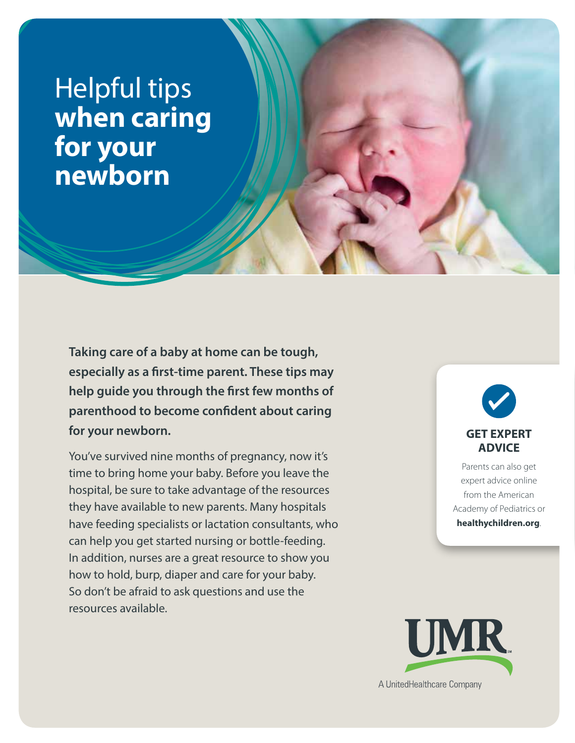# Helpful tips **when caring for your newborn**

**Taking care of a baby at home can be tough, especially as a first-time parent. These tips may help guide you through the first few months of parenthood to become confident about caring for your newborn.**

You've survived nine months of pregnancy, now it's time to bring home your baby. Before you leave the hospital, be sure to take advantage of the resources they have available to new parents. Many hospitals have feeding specialists or lactation consultants, who can help you get started nursing or bottle-feeding. In addition, nurses are a great resource to show you how to hold, burp, diaper and care for your baby. So don't be afraid to ask questions and use the resources available.



Parents can also get expert advice online from the American Academy of Pediatrics or **healthychildren.org**.

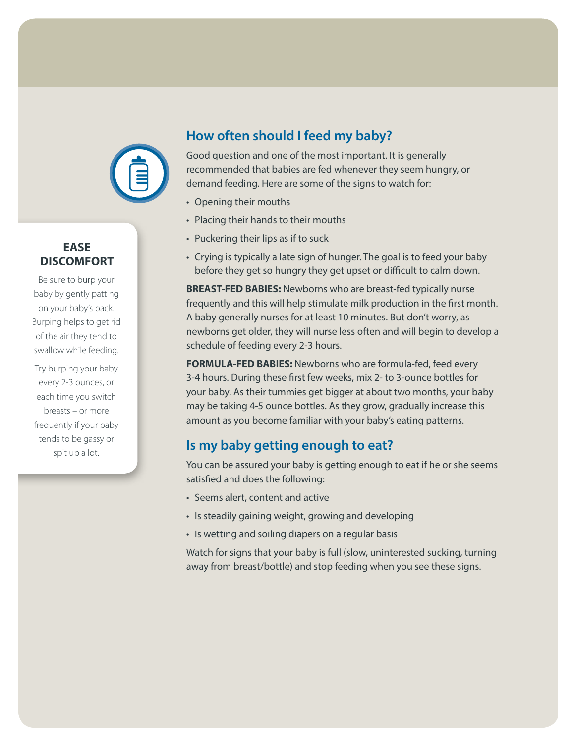

### **EASE DISCOMFORT**

Be sure to burp your baby by gently patting on your baby's back. Burping helps to get rid of the air they tend to swallow while feeding.

Try burping your baby every 2-3 ounces, or each time you switch breasts – or more frequently if your baby tends to be gassy or spit up a lot.

# **How often should I feed my baby?**

Good question and one of the most important. It is generally recommended that babies are fed whenever they seem hungry, or demand feeding. Here are some of the signs to watch for:

- Opening their mouths
- Placing their hands to their mouths
- Puckering their lips as if to suck
- Crying is typically a late sign of hunger. The goal is to feed your baby before they get so hungry they get upset or difficult to calm down.

**BREAST-FED BABIES:** Newborns who are breast-fed typically nurse frequently and this will help stimulate milk production in the first month. A baby generally nurses for at least 10 minutes. But don't worry, as newborns get older, they will nurse less often and will begin to develop a schedule of feeding every 2-3 hours.

**FORMULA-FED BABIES:** Newborns who are formula-fed, feed every 3-4 hours. During these first few weeks, mix 2- to 3-ounce bottles for your baby. As their tummies get bigger at about two months, your baby may be taking 4-5 ounce bottles. As they grow, gradually increase this amount as you become familiar with your baby's eating patterns.

## **Is my baby getting enough to eat?**

You can be assured your baby is getting enough to eat if he or she seems satisfied and does the following:

- Seems alert, content and active
- Is steadily gaining weight, growing and developing
- Is wetting and soiling diapers on a regular basis

Watch for signs that your baby is full (slow, uninterested sucking, turning away from breast/bottle) and stop feeding when you see these signs.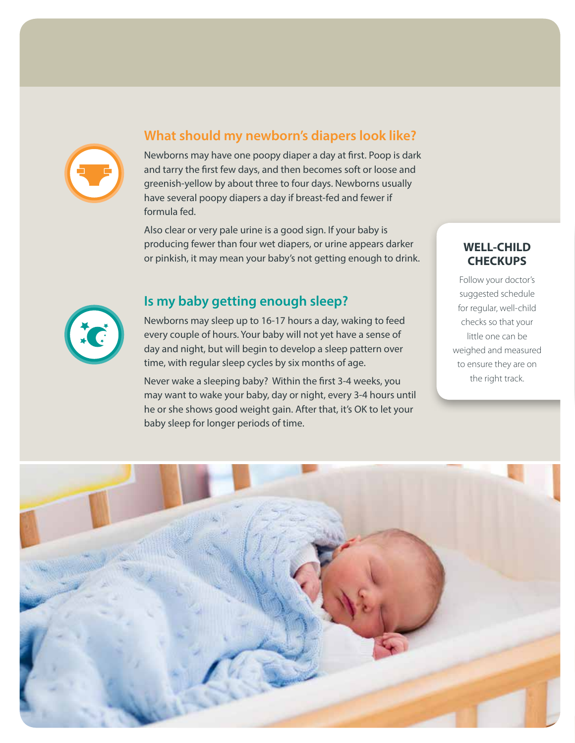

### **What should my newborn's diapers look like?**

Newborns may have one poopy diaper a day at first. Poop is dark and tarry the first few days, and then becomes soft or loose and greenish-yellow by about three to four days. Newborns usually have several poopy diapers a day if breast-fed and fewer if formula fed.

Also clear or very pale urine is a good sign. If your baby is producing fewer than four wet diapers, or urine appears darker or pinkish, it may mean your baby's not getting enough to drink.

### **Is my baby getting enough sleep?**

Newborns may sleep up to 16-17 hours a day, waking to feed every couple of hours. Your baby will not yet have a sense of day and night, but will begin to develop a sleep pattern over time, with regular sleep cycles by six months of age.

Never wake a sleeping baby? Within the first 3-4 weeks, you may want to wake your baby, day or night, every 3-4 hours until he or she shows good weight gain. After that, it's OK to let your baby sleep for longer periods of time.

### **WELL-CHILD CHECKUPS**

Follow your doctor's suggested schedule for regular, well-child checks so that your little one can be weighed and measured to ensure they are on the right track.